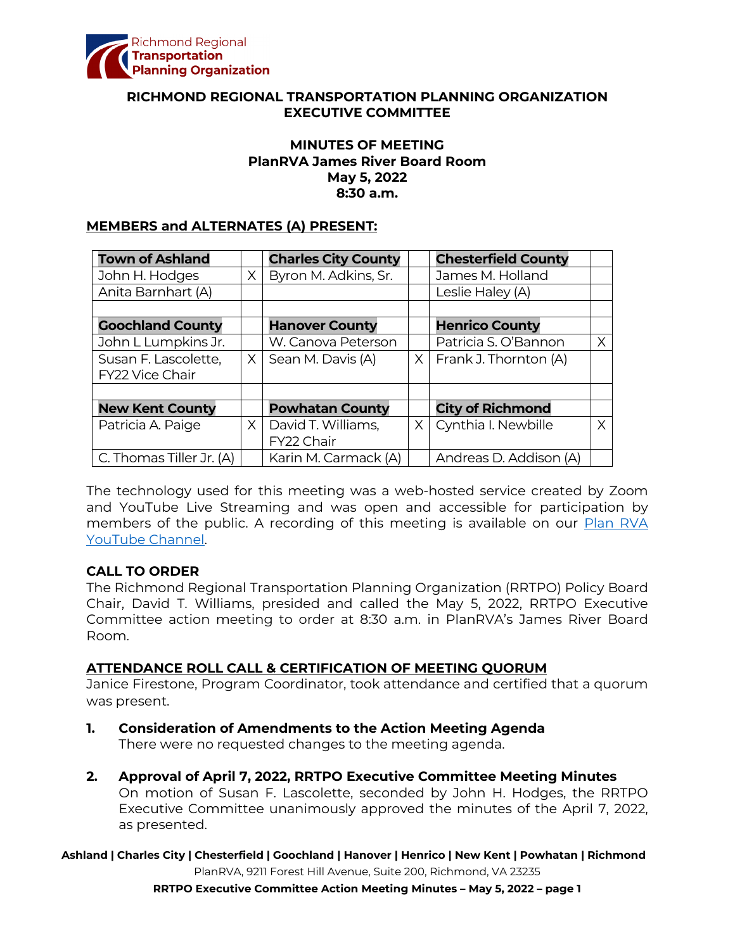

### **RICHMOND REGIONAL TRANSPORTATION PLANNING ORGANIZATION EXECUTIVE COMMITTEE**

### **MINUTES OF MEETING PlanRVA James River Board Room May 5, 2022 8:30 a.m.**

#### **MEMBERS and ALTERNATES (A) PRESENT:**

| <b>Town of Ashland</b>   |          | <b>Charles City County</b> |          | <b>Chesterfield County</b>  |   |
|--------------------------|----------|----------------------------|----------|-----------------------------|---|
| John H. Hodges           | X        | Byron M. Adkins, Sr.       |          | James M. Holland            |   |
| Anita Barnhart (A)       |          |                            |          | Leslie Haley (A)            |   |
|                          |          |                            |          |                             |   |
| <b>Goochland County</b>  |          | <b>Hanover County</b>      |          | <b>Henrico County</b>       |   |
| John L Lumpkins Jr.      |          | W. Canova Peterson         |          | Patricia S. O'Bannon        | X |
| Susan F. Lascolette,     | X.       | Sean M. Davis (A)          |          | $X$   Frank J. Thornton (A) |   |
| FY22 Vice Chair          |          |                            |          |                             |   |
|                          |          |                            |          |                             |   |
| <b>New Kent County</b>   |          | <b>Powhatan County</b>     |          | <b>City of Richmond</b>     |   |
| Patricia A. Paige        | $\times$ | David T. Williams,         | $\times$ | Cynthia I. Newbille         | Χ |
|                          |          | FY22 Chair                 |          |                             |   |
| C. Thomas Tiller Jr. (A) |          | Karin M. Carmack (A)       |          | Andreas D. Addison (A)      |   |

The technology used for this meeting was a web-hosted service created by Zoom and YouTube Live Streaming and was open and accessible for participation by members of the public. A recording of this meeting is available on our [Plan RVA](https://www.youtube.com/watch?v=z0QZVILjyig)  [YouTube Channel.](https://www.youtube.com/watch?v=z0QZVILjyig)

### **CALL TO ORDER**

The Richmond Regional Transportation Planning Organization (RRTPO) Policy Board Chair, David T. Williams, presided and called the May 5, 2022, RRTPO Executive Committee action meeting to order at 8:30 a.m. in PlanRVA's James River Board Room.

### **ATTENDANCE ROLL CALL & CERTIFICATION OF MEETING QUORUM**

Janice Firestone, Program Coordinator, took attendance and certified that a quorum was present.

- **1. Consideration of Amendments to the Action Meeting Agenda** There were no requested changes to the meeting agenda.
- **2. Approval of April 7, 2022, RRTPO Executive Committee Meeting Minutes** On motion of Susan F. Lascolette, seconded by John H. Hodges, the RRTPO Executive Committee unanimously approved the minutes of the April 7, 2022, as presented.

**Ashland | Charles City | Chesterfield | Goochland | Hanover | Henrico | New Kent | Powhatan | Richmond**

PlanRVA, 9211 Forest Hill Avenue, Suite 200, Richmond, VA 23235

**RRTPO Executive Committee Action Meeting Minutes – May 5, 2022 – page 1**